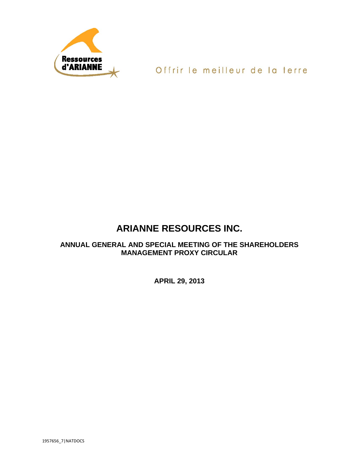

Offrir le meilleur de la terre

# **ARIANNE RESOURCES INC.**

**ANNUAL GENERAL AND SPECIAL MEETING OF THE SHAREHOLDERS MANAGEMENT PROXY CIRCULAR** 

**APRIL 29, 2013**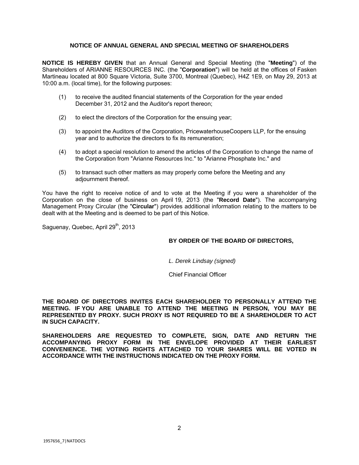## **NOTICE OF ANNUAL GENERAL AND SPECIAL MEETING OF SHAREHOLDERS**

**NOTICE IS HEREBY GIVEN** that an Annual General and Special Meeting (the "**Meeting**") of the Shareholders of ARIANNE RESOURCES INC. (the "**Corporation**") will be held at the offices of Fasken Martineau located at 800 Square Victoria, Suite 3700, Montreal (Quebec), H4Z 1E9, on May 29, 2013 at 10:00 a.m. (local time), for the following purposes:

- (1) to receive the audited financial statements of the Corporation for the year ended December 31, 2012 and the Auditor's report thereon;
- (2) to elect the directors of the Corporation for the ensuing year;
- (3) to appoint the Auditors of the Corporation, PricewaterhouseCoopers LLP, for the ensuing year and to authorize the directors to fix its remuneration;
- (4) to adopt a special resolution to amend the articles of the Corporation to change the name of the Corporation from "Arianne Resources Inc." to "Arianne Phosphate Inc." and
- (5) to transact such other matters as may properly come before the Meeting and any adjournment thereof.

You have the right to receive notice of and to vote at the Meeting if you were a shareholder of the Corporation on the close of business on April 19, 2013 (the "**Record Date**"). The accompanying Management Proxy Circular (the "**Circular**") provides additional information relating to the matters to be dealt with at the Meeting and is deemed to be part of this Notice.

Saguenay, Quebec, April 29<sup>th</sup>, 2013

## **BY ORDER OF THE BOARD OF DIRECTORS,**

*L. Derek Lindsay (signed)* 

Chief Financial Officer

**THE BOARD OF DIRECTORS INVITES EACH SHAREHOLDER TO PERSONALLY ATTEND THE MEETING. IF YOU ARE UNABLE TO ATTEND THE MEETING IN PERSON, YOU MAY BE REPRESENTED BY PROXY. SUCH PROXY IS NOT REQUIRED TO BE A SHAREHOLDER TO ACT IN SUCH CAPACITY.** 

**SHAREHOLDERS ARE REQUESTED TO COMPLETE, SIGN, DATE AND RETURN THE ACCOMPANYING PROXY FORM IN THE ENVELOPE PROVIDED AT THEIR EARLIEST CONVENIENCE. THE VOTING RIGHTS ATTACHED TO YOUR SHARES WILL BE VOTED IN ACCORDANCE WITH THE INSTRUCTIONS INDICATED ON THE PROXY FORM.**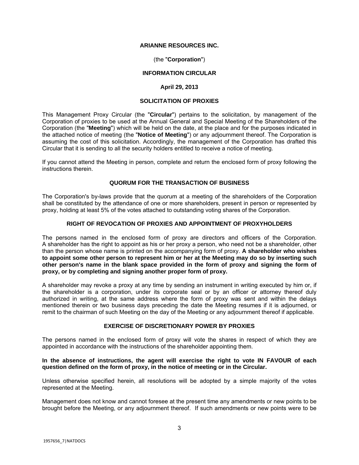## **ARIANNE RESOURCES INC.**

## (the "**Corporation**")

## **INFORMATION CIRCULAR**

## **April 29, 2013**

# **SOLICITATION OF PROXIES**

This Management Proxy Circular (the "**Circular**") pertains to the solicitation, by management of the Corporation of proxies to be used at the Annual General and Special Meeting of the Shareholders of the Corporation (the "**Meeting**") which will be held on the date, at the place and for the purposes indicated in the attached notice of meeting (the "**Notice of Meeting**") or any adjournment thereof. The Corporation is assuming the cost of this solicitation. Accordingly, the management of the Corporation has drafted this Circular that it is sending to all the security holders entitled to receive a notice of meeting.

If you cannot attend the Meeting in person, complete and return the enclosed form of proxy following the instructions therein.

# **QUORUM FOR THE TRANSACTION OF BUSINESS**

The Corporation's by-laws provide that the quorum at a meeting of the shareholders of the Corporation shall be constituted by the attendance of one or more shareholders, present in person or represented by proxy, holding at least 5% of the votes attached to outstanding voting shares of the Corporation.

## **RIGHT OF REVOCATION OF PROXIES AND APPOINTMENT OF PROXYHOLDERS**

The persons named in the enclosed form of proxy are directors and officers of the Corporation. A shareholder has the right to appoint as his or her proxy a person, who need not be a shareholder, other than the person whose name is printed on the accompanying form of proxy. **A shareholder who wishes to appoint some other person to represent him or her at the Meeting may do so by inserting such other person's name in the blank space provided in the form of proxy and signing the form of proxy, or by completing and signing another proper form of proxy.**

A shareholder may revoke a proxy at any time by sending an instrument in writing executed by him or, if the shareholder is a corporation, under its corporate seal or by an officer or attorney thereof duly authorized in writing, at the same address where the form of proxy was sent and within the delays mentioned therein or two business days preceding the date the Meeting resumes if it is adjourned, or remit to the chairman of such Meeting on the day of the Meeting or any adjournment thereof if applicable.

# **EXERCISE OF DISCRETIONARY POWER BY PROXIES**

The persons named in the enclosed form of proxy will vote the shares in respect of which they are appointed in accordance with the instructions of the shareholder appointing them.

## **In the absence of instructions, the agent will exercise the right to vote IN FAVOUR of each question defined on the form of proxy, in the notice of meeting or in the Circular.**

Unless otherwise specified herein, all resolutions will be adopted by a simple majority of the votes represented at the Meeting.

Management does not know and cannot foresee at the present time any amendments or new points to be brought before the Meeting, or any adjournment thereof. If such amendments or new points were to be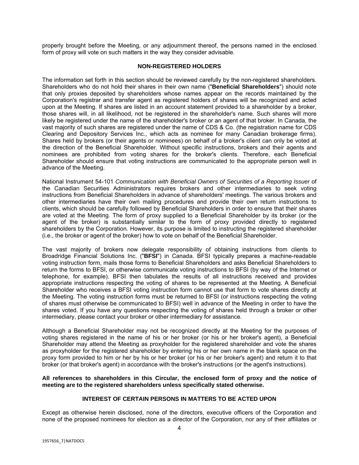properly brought before the Meeting, or any adjournment thereof, the persons named in the enclosed form of proxy will vote on such matters in the way they consider advisable.

## **NON-REGISTERED HOLDERS**

The information set forth in this section should be reviewed carefully by the non-registered shareholders. Shareholders who do not hold their shares in their own name ("**Beneficial Shareholders**") should note that only proxies deposited by shareholders whose names appear on the records maintained by the Corporation's registrar and transfer agent as registered holders of shares will be recognized and acted upon at the Meeting. If shares are listed in an account statement provided to a shareholder by a broker, those shares will, in all likelihood, not be registered in the shareholder's name. Such shares will more likely be registered under the name of the shareholder's broker or an agent of that broker. In Canada, the vast majority of such shares are registered under the name of CDS & Co. (the registration name for CDS Clearing and Depository Services Inc., which acts as nominee for many Canadian brokerage firms). Shares held by brokers (or their agents or nominees) on behalf of a broker's client can only be voted at the direction of the Beneficial Shareholder. Without specific instructions, brokers and their agents and nominees are prohibited from voting shares for the broker's clients. Therefore, each Beneficial Shareholder should ensure that voting instructions are communicated to the appropriate person well in advance of the Meeting.

National Instrument 54-101 *Communication with Beneficial Owners of Securities of a Reporting Issuer* of the Canadian Securities Administrators requires brokers and other intermediaries to seek voting instructions from Beneficial Shareholders in advance of shareholders' meetings. The various brokers and other intermediaries have their own mailing procedures and provide their own return instructions to clients, which should be carefully followed by Beneficial Shareholders in order to ensure that their shares are voted at the Meeting. The form of proxy supplied to a Beneficial Shareholder by its broker (or the agent of the broker) is substantially similar to the form of proxy provided directly to registered shareholders by the Corporation. However, its purpose is limited to instructing the registered shareholder (i.e., the broker or agent of the broker) how to vote on behalf of the Beneficial Shareholder.

The vast majority of brokers now delegate responsibility of obtaining instructions from clients to Broadridge Financial Solutions Inc. ("**BFSI**") in Canada. BFSI typically prepares a machine-readable voting instruction form, mails those forms to Beneficial Shareholders and asks Beneficial Shareholders to return the forms to BFSI, or otherwise communicate voting instructions to BFSI (by way of the Internet or telephone, for example). BFSI then tabulates the results of all instructions received and provides appropriate instructions respecting the voting of shares to be represented at the Meeting. A Beneficial Shareholder who receives a BFSI voting instruction form cannot use that form to vote shares directly at the Meeting. The voting instruction forms must be returned to BFSI (or instructions respecting the voting of shares must otherwise be communicated to BFSI) well in advance of the Meeting in order to have the shares voted. If you have any questions respecting the voting of shares held through a broker or other intermediary, please contact your broker or other intermediary for assistance.

Although a Beneficial Shareholder may not be recognized directly at the Meeting for the purposes of voting shares registered in the name of his or her broker (or his or her broker's agent), a Beneficial Shareholder may attend the Meeting as proxyholder for the registered shareholder and vote the shares as proxyholder for the registered shareholder by entering his or her own name in the blank space on the proxy form provided to him or her by his or her broker (or his or her broker's agent) and return it to that broker (or that broker's agent) in accordance with the broker's instructions (or the agent's instructions).

## **All references to shareholders in this Circular, the enclosed form of proxy and the notice of meeting are to the registered shareholders unless specifically stated otherwise.**

# **INTEREST OF CERTAIN PERSONS IN MATTERS TO BE ACTED UPON**

Except as otherwise herein disclosed, none of the directors, executive officers of the Corporation and none of the proposed nominees for election as a director of the Corporation, nor any of their affiliates or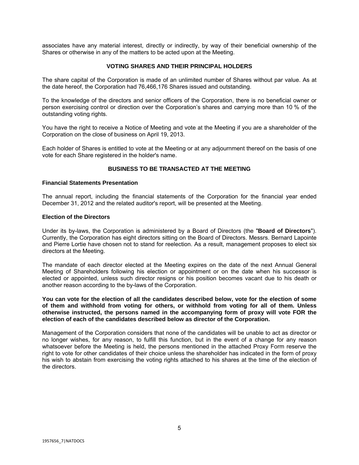associates have any material interest, directly or indirectly, by way of their beneficial ownership of the Shares or otherwise in any of the matters to be acted upon at the Meeting.

# **VOTING SHARES AND THEIR PRINCIPAL HOLDERS**

The share capital of the Corporation is made of an unlimited number of Shares without par value. As at the date hereof, the Corporation had 76,466,176 Shares issued and outstanding.

To the knowledge of the directors and senior officers of the Corporation, there is no beneficial owner or person exercising control or direction over the Corporation's shares and carrying more than 10 % of the outstanding voting rights.

You have the right to receive a Notice of Meeting and vote at the Meeting if you are a shareholder of the Corporation on the close of business on April 19, 2013.

Each holder of Shares is entitled to vote at the Meeting or at any adjournment thereof on the basis of one vote for each Share registered in the holder's name.

## **BUSINESS TO BE TRANSACTED AT THE MEETING**

#### **Financial Statements Presentation**

The annual report, including the financial statements of the Corporation for the financial year ended December 31, 2012 and the related auditor's report, will be presented at the Meeting.

#### **Election of the Directors**

Under its by-laws, the Corporation is administered by a Board of Directors (the "**Board of Directors**"). Currently, the Corporation has eight directors sitting on the Board of Directors. Messrs. Bernard Lapointe and Pierre Lortie have chosen not to stand for reelection. As a result, management proposes to elect six directors at the Meeting.

The mandate of each director elected at the Meeting expires on the date of the next Annual General Meeting of Shareholders following his election or appointment or on the date when his successor is elected or appointed, unless such director resigns or his position becomes vacant due to his death or another reason according to the by-laws of the Corporation.

**You can vote for the election of all the candidates described below, vote for the election of some of them and withhold from voting for others, or withhold from voting for all of them. Unless otherwise instructed, the persons named in the accompanying form of proxy will vote FOR the election of each of the candidates described below as director of the Corporation.** 

Management of the Corporation considers that none of the candidates will be unable to act as director or no longer wishes, for any reason, to fulfill this function, but in the event of a change for any reason whatsoever before the Meeting is held, the persons mentioned in the attached Proxy Form reserve the right to vote for other candidates of their choice unless the shareholder has indicated in the form of proxy his wish to abstain from exercising the voting rights attached to his shares at the time of the election of the directors.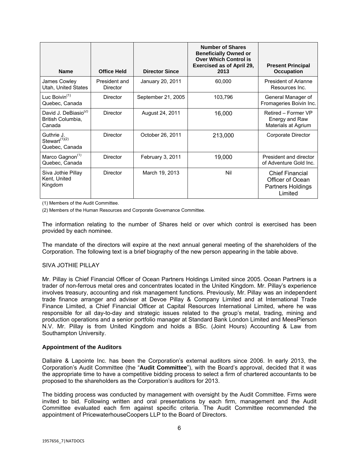|                                                                 |                           |                       | <b>Number of Shares</b><br><b>Beneficially Owned or</b><br><b>Over Which Control is</b> |                                                                                   |
|-----------------------------------------------------------------|---------------------------|-----------------------|-----------------------------------------------------------------------------------------|-----------------------------------------------------------------------------------|
| <b>Name</b>                                                     | <b>Office Held</b>        | <b>Director Since</b> | <b>Exercised as of April 29,</b><br>2013                                                | <b>Present Principal</b><br><b>Occupation</b>                                     |
| James Cowley<br>Utah, United States                             | President and<br>Director | January 20, 2011      | 60,000                                                                                  | President of Arianne<br>Resources Inc.                                            |
| Luc Boivin $(1)$<br>Quebec, Canada                              | Director                  | September 21, 2005    | 103,796                                                                                 | General Manager of<br>Fromageries Boivin Inc.                                     |
| David J. DeBiasio <sup>(2)</sup><br>British Columbia,<br>Canada | Director                  | August 24, 2011       | 16,000                                                                                  | Retired – Former VP<br>Energy and Raw<br>Materials at Agrium                      |
| Guthrie J.<br>Stewart $(1)(2)$<br>Quebec, Canada                | Director                  | October 26, 2011      | 213,000                                                                                 | Corporate Director                                                                |
| Marco Gagnon <sup>(1)</sup><br>Quebec, Canada                   | Director                  | February 3, 2011      | 19,000                                                                                  | President and director<br>of Adventure Gold Inc.                                  |
| Siva Jothie Pillay<br>Kent, United<br>Kingdom                   | Director                  | March 19, 2013        | Nil                                                                                     | <b>Chief Financial</b><br>Officer of Ocean<br><b>Partners Holdings</b><br>Limited |

(1) Members of the Audit Committee.

(2) Members of the Human Resources and Corporate Governance Committee.

The information relating to the number of Shares held or over which control is exercised has been provided by each nominee.

The mandate of the directors will expire at the next annual general meeting of the shareholders of the Corporation. The following text is a brief biography of the new person appearing in the table above.

## SIVA JOTHIE PILLAY

Mr. Pillay is Chief Financial Officer of Ocean Partners Holdings Limited since 2005. Ocean Partners is a trader of non-ferrous metal ores and concentrates located in the United Kingdom. Mr. Pillay's experience involves treasury, accounting and risk management functions. Previously, Mr. Pillay was an independent trade finance arranger and adviser at Devoe Pillay & Company Limited and at International Trade Finance Limited, a Chief Financial Officer at Capital Resources International Limited, where he was responsible for all day-to-day and strategic issues related to the group's metal, trading, mining and production operations and a senior portfolio manager at Standard Bank London Limited and MeesPierson N.V. Mr. Pillay is from United Kingdom and holds a BSc. (Joint Hours) Accounting & Law from Southampton University.

## **Appointment of the Auditors**

Dallaire & Lapointe Inc. has been the Corporation's external auditors since 2006. In early 2013, the Corporation's Audit Committee (the "**Audit Committee**"), with the Board's approval, decided that it was the appropriate time to have a competitive bidding process to select a firm of chartered accountants to be proposed to the shareholders as the Corporation's auditors for 2013.

The bidding process was conducted by management with oversight by the Audit Committee. Firms were invited to bid. Following written and oral presentations by each firm, management and the Audit Committee evaluated each firm against specific criteria. The Audit Committee recommended the appointment of PricewaterhouseCoopers LLP to the Board of Directors.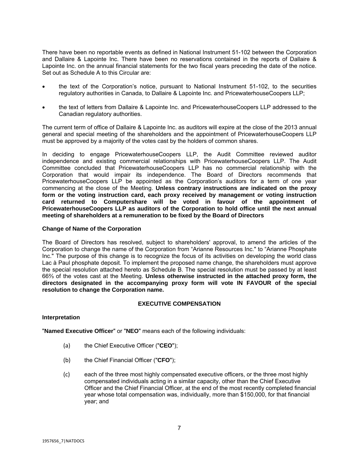There have been no reportable events as defined in National Instrument 51-102 between the Corporation and Dallaire & Lapointe Inc. There have been no reservations contained in the reports of Dallaire & Lapointe Inc. on the annual financial statements for the two fiscal years preceding the date of the notice. Set out as Schedule A to this Circular are:

- the text of the Corporation's notice, pursuant to National Instrument 51-102, to the securities regulatory authorities in Canada, to Dallaire & Lapointe Inc. and PricewaterhouseCoopers LLP;
- the text of letters from Dallaire & Lapointe Inc. and PricewaterhouseCoopers LLP addressed to the Canadian regulatory authorities.

The current term of office of Dallaire & Lapointe Inc. as auditors will expire at the close of the 2013 annual general and special meeting of the shareholders and the appointment of PricewaterhouseCoopers LLP must be approved by a majority of the votes cast by the holders of common shares.

In deciding to engage PricewaterhouseCoopers LLP, the Audit Committee reviewed auditor independence and existing commercial relationships with PricewaterhouseCoopers LLP. The Audit Committee concluded that PricewaterhouseCoopers LLP has no commercial relationship with the Corporation that would impair its independence. The Board of Directors recommends that PricewaterhouseCoopers LLP be appointed as the Corporation's auditors for a term of one year commencing at the close of the Meeting. **Unless contrary instructions are indicated on the proxy form or the voting instruction card, each proxy received by management or voting instruction card returned to Computershare will be voted in favour of the appointment of PricewaterhouseCoopers LLP as auditors of the Corporation to hold office until the next annual meeting of shareholders at a remuneration to be fixed by the Board of Directors**

## **Change of Name of the Corporation**

The Board of Directors has resolved, subject to shareholders' approval, to amend the articles of the Corporation to change the name of the Corporation from "Arianne Resources Inc." to "Arianne Phosphate Inc." The purpose of this change is to recognize the focus of its activities on developing the world class Lac à Paul phosphate deposit. To implement the proposed name change, the shareholders must approve the special resolution attached hereto as Schedule B. The special resolution must be passed by at least 66⅔ of the votes cast at the Meeting. **Unless otherwise instructed in the attached proxy form, the directors designated in the accompanying proxy form will vote IN FAVOUR of the special resolution to change the Corporation name.**

## **EXECUTIVE COMPENSATION**

## **Interpretation**

"**Named Executive Officer**" or "**NEO**" means each of the following individuals:

- (a) the Chief Executive Officer ("**CEO**");
- (b) the Chief Financial Officer ("**CFO**");
- (c) each of the three most highly compensated executive officers, or the three most highly compensated individuals acting in a similar capacity, other than the Chief Executive Officer and the Chief Financial Officer, at the end of the most recently completed financial year whose total compensation was, individually, more than \$150,000, for that financial year; and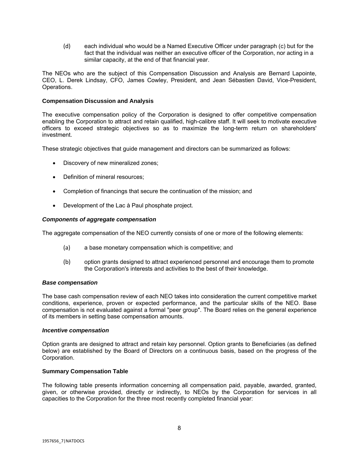(d) each individual who would be a Named Executive Officer under paragraph (c) but for the fact that the individual was neither an executive officer of the Corporation, nor acting in a similar capacity, at the end of that financial year.

The NEOs who are the subject of this Compensation Discussion and Analysis are Bernard Lapointe, CEO, L. Derek Lindsay, CFO, James Cowley, President, and Jean Sébastien David, Vice-President, Operations.

## **Compensation Discussion and Analysis**

The executive compensation policy of the Corporation is designed to offer competitive compensation enabling the Corporation to attract and retain qualified, high-calibre staff. It will seek to motivate executive officers to exceed strategic objectives so as to maximize the long-term return on shareholders' investment.

These strategic objectives that guide management and directors can be summarized as follows:

- Discovery of new mineralized zones;
- Definition of mineral resources:
- Completion of financings that secure the continuation of the mission; and
- Development of the Lac à Paul phosphate project.

## *Components of aggregate compensation*

The aggregate compensation of the NEO currently consists of one or more of the following elements:

- (a) a base monetary compensation which is competitive; and
- (b) option grants designed to attract experienced personnel and encourage them to promote the Corporation's interests and activities to the best of their knowledge.

## *Base compensation*

The base cash compensation review of each NEO takes into consideration the current competitive market conditions, experience, proven or expected performance, and the particular skills of the NEO. Base compensation is not evaluated against a formal "peer group". The Board relies on the general experience of its members in setting base compensation amounts.

## *Incentive compensation*

Option grants are designed to attract and retain key personnel. Option grants to Beneficiaries (as defined below) are established by the Board of Directors on a continuous basis, based on the progress of the Corporation.

## **Summary Compensation Table**

The following table presents information concerning all compensation paid, payable, awarded, granted, given, or otherwise provided, directly or indirectly, to NEOs by the Corporation for services in all capacities to the Corporation for the three most recently completed financial year: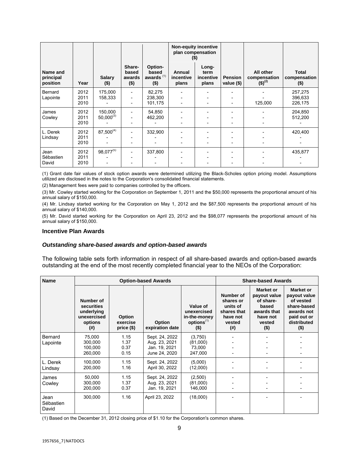|                                   |                      |                           |                                                          |                                             | <b>Non-equity incentive</b><br>plan compensation<br>$($ \$) |                                     |                              |                                          |                                         |
|-----------------------------------|----------------------|---------------------------|----------------------------------------------------------|---------------------------------------------|-------------------------------------------------------------|-------------------------------------|------------------------------|------------------------------------------|-----------------------------------------|
| Name and<br>principal<br>position | Year                 | <b>Salary</b><br>$($ \$)  | Share-<br>based<br>awards<br>$($ \$)                     | Option-<br>based<br>awards $(1)$<br>$($ \$) | Annual<br>incentive<br>plans                                | Long-<br>term<br>incentive<br>plans | <b>Pension</b><br>value (\$) | All other<br>compensation<br>$(5)^{(2)}$ | <b>Total</b><br>compensation<br>$($ \$) |
| Bernard<br>Lapointe               | 2012<br>2011<br>2010 | 175,000<br>158,333        | $\overline{\phantom{a}}$<br>$\qquad \qquad \blacksquare$ | 82,275<br>238,300<br>101,175                | $\qquad \qquad \blacksquare$                                |                                     |                              | 125,000                                  | 257,275<br>396,633<br>226,175           |
| James<br>Cowley                   | 2012<br>2011<br>2010 | 150,000<br>$50,000^{(3)}$ |                                                          | 54,850<br>462,200                           |                                                             |                                     |                              |                                          | 204,850<br>512,200                      |
| L. Derek<br>Lindsay               | 2012<br>2011<br>2010 | $87,500^{(4)}$            |                                                          | 332,900                                     |                                                             |                                     |                              |                                          | 420,400                                 |
| Jean<br>Sébastien<br>David        | 2012<br>2011<br>2010 | $98,077^{(5)}$            |                                                          | 337,800                                     |                                                             |                                     |                              |                                          | 435,877                                 |

(1) Grant date fair values of stock option awards were determined utilizing the Black-Scholes option pricing model. Assumptions utilized are disclosed in the notes to the Corporation's consolidated financial statements.

(2) Management fees were paid to companies controlled by the officers.

(3) Mr. Cowley started working for the Corporation on September 1, 2011 and the \$50,000 represents the proportional amount of his annual salary of \$150,000.

(4) Mr. Lindsay started working for the Corporation on May 1, 2012 and the \$87,500 represents the proportional amount of his annual salary of \$140,000.

(5) Mr. David started working for the Corporation on April 23, 2012 and the \$98,077 represents the proportional amount of his annual salary of \$150,000.

#### **Incentive Plan Awards**

#### *Outstanding share-based awards and option-based awards*

The following table sets forth information in respect of all share-based awards and option-based awards outstanding at the end of the most recently completed financial year to the NEOs of the Corporation:

| <b>Name</b>                | <b>Option-based Awards</b>                                                |                                  |                                                                   |                                                                              | <b>Share-based Awards</b>                                                            |                                                                                                 |                                                                                                              |  |
|----------------------------|---------------------------------------------------------------------------|----------------------------------|-------------------------------------------------------------------|------------------------------------------------------------------------------|--------------------------------------------------------------------------------------|-------------------------------------------------------------------------------------------------|--------------------------------------------------------------------------------------------------------------|--|
|                            | Number of<br>securities<br>underlying<br>unexercised<br>options<br>$($ #) | Option<br>exercise<br>price (\$) | Option<br>expiration date                                         | Value of<br>unexercised<br>in-the-money<br>options <sup>(1)</sup><br>$($ \$) | Number of<br>shares or<br>units of<br>shares that<br>have not<br>vested<br>$($ # $)$ | Market or<br>payout value<br>of share-<br>based<br>awards that<br>have not<br>vested<br>$($ \$) | Market or<br>payout value<br>of vested<br>share-based<br>awards not<br>paid out or<br>distributed<br>$($ \$) |  |
| Bernard<br>Lapointe        | 75,000<br>300,000<br>100,000<br>260,000                                   | 1.15<br>1.37<br>0.37<br>0.15     | Sept. 24, 2022<br>Aug. 23, 2021<br>Jan. 19, 2021<br>June 24, 2020 | (3,750)<br>(81,000)<br>73,000<br>247,000                                     |                                                                                      |                                                                                                 |                                                                                                              |  |
| L. Derek<br>Lindsay        | 100.000<br>200,000                                                        | 1.15<br>1.16                     | Sept. 24, 2022<br>April 30, 2022                                  | (5,000)<br>(12,000)                                                          |                                                                                      |                                                                                                 |                                                                                                              |  |
| James<br>Cowley            | 50,000<br>300,000<br>200,000                                              | 1.15<br>1.37<br>0.37             | Sept. 24, 2022<br>Aug. 23, 2021<br>Jan. 19, 2021                  | (2,500)<br>(81,000)<br>146,000                                               |                                                                                      |                                                                                                 |                                                                                                              |  |
| Jean<br>Sébastien<br>David | 300,000                                                                   | 1.16                             | April 23, 2022                                                    | (18,000)                                                                     |                                                                                      |                                                                                                 |                                                                                                              |  |

(1) Based on the December 31, 2012 closing price of \$1.10 for the Corporation's common shares.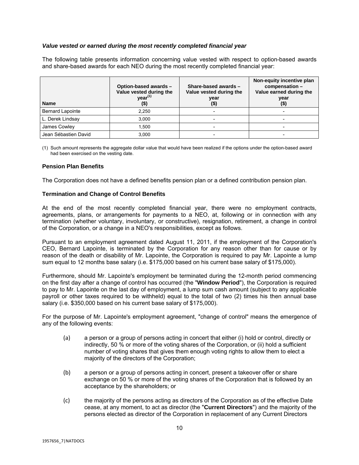## *Value vested or earned during the most recently completed financial year*

The following table presents information concerning value vested with respect to option-based awards and share-based awards for each NEO during the most recently completed financial year:

| <b>Name</b>             | Option-based awards -<br>Value vested during the<br>year <sup>(1)</sup><br>(\$) | Share-based awards -<br>Value vested during the<br>year<br>(\$) | Non-equity incentive plan<br>compensation -<br>Value earned during the<br>year<br>(\$) |
|-------------------------|---------------------------------------------------------------------------------|-----------------------------------------------------------------|----------------------------------------------------------------------------------------|
| <b>Bernard Lapointe</b> | 2,250                                                                           |                                                                 |                                                                                        |
| L. Derek Lindsay        | 3.000                                                                           |                                                                 |                                                                                        |
| James Cowley            | 1.500                                                                           |                                                                 |                                                                                        |
| Jean Sébastien David    | 3.000                                                                           |                                                                 |                                                                                        |

(1) Such amount represents the aggregate dollar value that would have been realized if the options under the option-based award had been exercised on the vesting date.

# **Pension Plan Benefits**

The Corporation does not have a defined benefits pension plan or a defined contribution pension plan.

## **Termination and Change of Control Benefits**

At the end of the most recently completed financial year, there were no employment contracts, agreements, plans, or arrangements for payments to a NEO, at, following or in connection with any termination (whether voluntary, involuntary, or constructive), resignation, retirement, a change in control of the Corporation, or a change in a NEO's responsibilities, except as follows.

Pursuant to an employment agreement dated August 11, 2011, if the employment of the Corporation's CEO, Bernard Lapointe, is terminated by the Corporation for any reason other than for cause or by reason of the death or disability of Mr. Lapointe, the Corporation is required to pay Mr. Lapointe a lump sum equal to 12 months base salary (i.e. \$175,000 based on his current base salary of \$175,000).

Furthermore, should Mr. Lapointe's employment be terminated during the 12-month period commencing on the first day after a change of control has occurred (the "**Window Period**"), the Corporation is required to pay to Mr. Lapointe on the last day of employment, a lump sum cash amount (subject to any applicable payroll or other taxes required to be withheld) equal to the total of two (2) times his then annual base salary (i.e. \$350,000 based on his current base salary of \$175,000).

For the purpose of Mr. Lapointe's employment agreement, "change of control" means the emergence of any of the following events:

- (a) a person or a group of persons acting in concert that either (i) hold or control, directly or indirectly, 50 % or more of the voting shares of the Corporation, or (ii) hold a sufficient number of voting shares that gives them enough voting rights to allow them to elect a majority of the directors of the Corporation;
- (b) a person or a group of persons acting in concert, present a takeover offer or share exchange on 50 % or more of the voting shares of the Corporation that is followed by an acceptance by the shareholders; or
- (c) the majority of the persons acting as directors of the Corporation as of the effective Date cease, at any moment, to act as director (the "**Current Directors**") and the majority of the persons elected as director of the Corporation in replacement of any Current Directors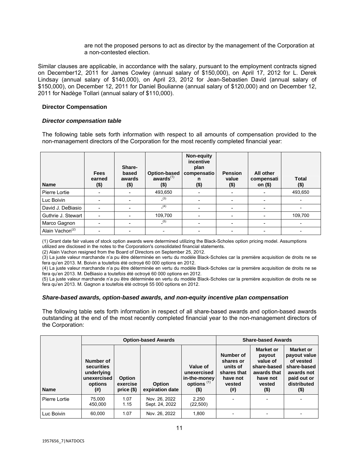are not the proposed persons to act as director by the management of the Corporation at a non-contested election.

Similar clauses are applicable, in accordance with the salary, pursuant to the employment contracts signed on December12, 2011 for James Cowley (annual salary of \$150,000), on April 17, 2012 for L. Derek Lindsay (annual salary of \$140,000), on April 23, 2012 for Jean-Sebastien David (annual salary of \$150,000), on December 12, 2011 for Daniel Boulianne (annual salary of \$120,000) and on December 12, 2011 for Nadège Tollari (annual salary of \$110,000).

## **Director Compensation**

# *Director compensation table*

The following table sets forth information with respect to all amounts of compensation provided to the non-management directors of the Corporation for the most recently completed financial year:

| <b>Name</b>                 | <b>Fees</b><br>earned<br>(\$) | Share-<br>based<br>awards<br>(\$) | Option-based<br>$a$ wards $(1)$<br>(\$) | Non-equity<br>incentive<br>plan<br>compensatio<br>n<br>$($ \$) | <b>Pension</b><br>value<br>$($ \$) | All other<br>compensati<br>on (\$) | Total<br>$($ \$) |
|-----------------------------|-------------------------------|-----------------------------------|-----------------------------------------|----------------------------------------------------------------|------------------------------------|------------------------------------|------------------|
| Pierre Lortie               |                               |                                   | 493,650                                 |                                                                |                                    |                                    | 493,650          |
| Luc Boivin                  |                               |                                   | (3)                                     |                                                                |                                    |                                    |                  |
| David J. DeBiasio           |                               |                                   | (4)                                     |                                                                |                                    |                                    |                  |
| Guthrie J. Stewart          |                               |                                   | 109,700                                 | $\overline{\phantom{0}}$                                       |                                    |                                    | 109,700          |
| Marco Gagnon                |                               |                                   | (5)                                     |                                                                |                                    |                                    |                  |
| Alain Vachon <sup>(2)</sup> |                               |                                   |                                         |                                                                |                                    |                                    |                  |

(1) Grant date fair values of stock option awards were determined utilizing the Black-Scholes option pricing model. Assumptions utilized are disclosed in the notes to the Corporation's consolidated financial statements.

(2) Alain Vachon resigned from the Board of Directors on September 25, 2012.

(3) La juste valeur marchande n'a pu être déterminée en vertu du modèle Black-Scholes car la première acquisition de droits ne se fera qu'en 2013. M. Boivin a toutefois été octroyé 60 000 options en 2012.

(4) La juste valeur marchande n'a pu être déterminée en vertu du modèle Black-Scholes car la première acquisition de droits ne se fera qu'en 2013. M. DeBiasio a toutefois été octroyé 60 000 options en 2012.

(5) La juste valeur marchande n'a pu être déterminée en vertu du modèle Black-Scholes car la première acquisition de droits ne se fera qu'en 2013. M. Gagnon a toutefois été octroyé 55 000 options en 2012.

## *Share-based awards, option-based awards, and non-equity incentive plan compensation*

The following table sets forth information in respect of all share-based awards and option-based awards outstanding at the end of the most recently completed financial year to the non-management directors of the Corporation:

|                 | <b>Option-based Awards</b>                                             |                                        |                                  |                                                                   | <b>Share-based Awards</b>                                                      |                                                                                                       |                                                                                                                     |
|-----------------|------------------------------------------------------------------------|----------------------------------------|----------------------------------|-------------------------------------------------------------------|--------------------------------------------------------------------------------|-------------------------------------------------------------------------------------------------------|---------------------------------------------------------------------------------------------------------------------|
| <b>Name</b>     | Number of<br>securities<br>underlying<br>unexercised<br>options<br>(#) | <b>Option</b><br>exercise<br>price(\$) | <b>Option</b><br>expiration date | Value of<br>unexercised<br>in-the-money<br>options $(1)$<br>$($)$ | Number of<br>shares or<br>units of<br>shares that<br>have not<br>vested<br>(#) | <b>Market or</b><br>payout<br>value of<br>share-based<br>awards that<br>have not<br>vested<br>$($ \$) | <b>Market or</b><br>payout value<br>of vested<br>share-based<br>awards not<br>paid out or<br>distributed<br>$($ \$) |
| l Pierre Lortie | 75.000<br>450.000                                                      | 1.07<br>1.15                           | Nov. 26, 2022<br>Sept. 24, 2022  | 2.250<br>(22, 500)                                                |                                                                                |                                                                                                       |                                                                                                                     |
| Luc Boivin      | 60.000                                                                 | 1.07                                   | Nov. 26, 2022                    | 1.800                                                             |                                                                                |                                                                                                       |                                                                                                                     |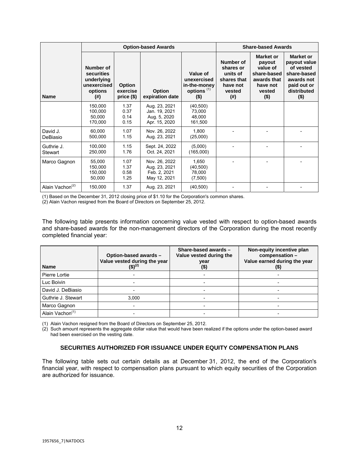|                              |                                                                             | <b>Option-based Awards</b>              |                                                                 |                                                                              | <b>Share-based Awards</b>                                                            |                                                                                                       |                                                                                                                     |  |
|------------------------------|-----------------------------------------------------------------------------|-----------------------------------------|-----------------------------------------------------------------|------------------------------------------------------------------------------|--------------------------------------------------------------------------------------|-------------------------------------------------------------------------------------------------------|---------------------------------------------------------------------------------------------------------------------|--|
| <b>Name</b>                  | Number of<br>securities<br>underlying<br>unexercised<br>options<br>$^{(#)}$ | <b>Option</b><br>exercise<br>$price($)$ | <b>Option</b><br>expiration date                                | Value of<br>unexercised<br>in-the-money<br>options <sup>(1)</sup><br>$($ \$) | Number of<br>shares or<br>units of<br>shares that<br>have not<br>vested<br>$($ # $)$ | <b>Market or</b><br>payout<br>value of<br>share-based<br>awards that<br>have not<br>vested<br>$($ \$) | <b>Market or</b><br>payout value<br>of vested<br>share-based<br>awards not<br>paid out or<br>distributed<br>$($ \$) |  |
|                              | 150,000<br>100,000<br>50,000<br>170,000                                     | 1.37<br>0.37<br>0.14<br>0.15            | Aug. 23, 2021<br>Jan. 19, 2021<br>Aug. 5, 2020<br>Apr. 15, 2020 | (40, 500)<br>73,000<br>48,000<br>161,500                                     |                                                                                      |                                                                                                       |                                                                                                                     |  |
| David J.<br>DeBiasio         | 60.000<br>500,000                                                           | 1.07<br>1.15                            | Nov. 26, 2022<br>Aug. 23, 2021                                  | 1.800<br>(25,000)                                                            |                                                                                      |                                                                                                       |                                                                                                                     |  |
| Guthrie J.<br><b>Stewart</b> | 100,000<br>250,000                                                          | 1.15<br>1.76                            | Sept. 24, 2022<br>Oct. 24, 2021                                 | (5,000)<br>(165,000)                                                         |                                                                                      |                                                                                                       |                                                                                                                     |  |
| Marco Gagnon                 | 55,000<br>150,000<br>150,000<br>50,000                                      | 1.07<br>1.37<br>0.58<br>1.25            | Nov. 26, 2022<br>Aug. 23, 2021<br>Feb. 2, 2021<br>May 12, 2021  | 1,650<br>(40, 500)<br>78,000<br>(7,500)                                      |                                                                                      |                                                                                                       |                                                                                                                     |  |
| Alain Vachon <sup>(2)</sup>  | 150,000                                                                     | 1.37                                    | Aug. 23, 2021                                                   | (40, 500)                                                                    |                                                                                      |                                                                                                       |                                                                                                                     |  |

(1) Based on the December 31, 2012 closing price of \$1.10 for the Corporation's common shares.

(2) Alain Vachon resigned from the Board of Directors on September 25, 2012.

The following table presents information concerning value vested with respect to option-based awards and share-based awards for the non-management directors of the Corporation during the most recently completed financial year:

| <b>Name</b>                 | Option-based awards -<br>Value vested during the year<br>$(5)^{(2)}$ | Share-based awards -<br>Value vested during the<br>year<br>(\$) | Non-equity incentive plan<br>compensation -<br>Value earned during the year<br>(\$) |
|-----------------------------|----------------------------------------------------------------------|-----------------------------------------------------------------|-------------------------------------------------------------------------------------|
| Pierre Lortie               |                                                                      |                                                                 |                                                                                     |
| Luc Boivin                  |                                                                      |                                                                 |                                                                                     |
| David J. DeBiasio           |                                                                      |                                                                 |                                                                                     |
| Guthrie J. Stewart          | 3.000                                                                |                                                                 |                                                                                     |
| Marco Gagnon                |                                                                      |                                                                 |                                                                                     |
| Alain Vachon <sup>(1)</sup> |                                                                      |                                                                 |                                                                                     |

(1) Alain Vachon resigned from the Board of Directors on September 25, 2012.

 $(2)$  Such amount represents the aggregate dollar value that would have been realized if the options under the option-based award had been exercised on the vesting date.

## **SECURITIES AUTHORIZED FOR ISSUANCE UNDER EQUITY COMPENSATION PLANS**

The following table sets out certain details as at December 31, 2012, the end of the Corporation's financial year, with respect to compensation plans pursuant to which equity securities of the Corporation are authorized for issuance.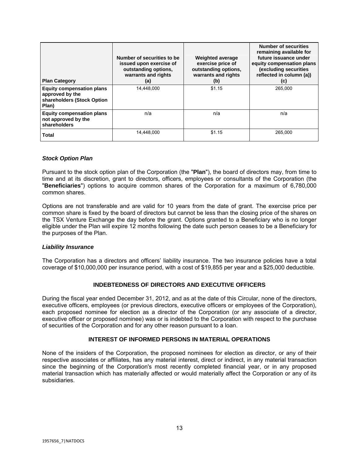| <b>Plan Category</b>                                                                       | Number of securities to be<br>issued upon exercise of<br>outstanding options,<br>warrants and rights<br>(a) | <b>Weighted average</b><br>exercise price of<br>outstanding options,<br>warrants and rights<br>(b) | <b>Number of securities</b><br>remaining available for<br>future issuance under<br>equity compensation plans<br>(excluding securities<br>reflected in column (a))<br>(c) |
|--------------------------------------------------------------------------------------------|-------------------------------------------------------------------------------------------------------------|----------------------------------------------------------------------------------------------------|--------------------------------------------------------------------------------------------------------------------------------------------------------------------------|
| <b>Equity compensation plans</b><br>approved by the<br>shareholders (Stock Option<br>Plan) | 14.448.000                                                                                                  | \$1.15                                                                                             | 265,000                                                                                                                                                                  |
| <b>Equity compensation plans</b><br>not approved by the<br>shareholders                    | n/a                                                                                                         | n/a                                                                                                | n/a                                                                                                                                                                      |
| Total                                                                                      | 14.448.000                                                                                                  | \$1.15                                                                                             | 265.000                                                                                                                                                                  |

## *Stock Option Plan*

Pursuant to the stock option plan of the Corporation (the "**Plan**"), the board of directors may, from time to time and at its discretion, grant to directors, officers, employees or consultants of the Corporation (the "**Beneficiaries**") options to acquire common shares of the Corporation for a maximum of 6,780,000 common shares.

Options are not transferable and are valid for 10 years from the date of grant. The exercise price per common share is fixed by the board of directors but cannot be less than the closing price of the shares on the TSX Venture Exchange the day before the grant. Options granted to a Beneficiary who is no longer eligible under the Plan will expire 12 months following the date such person ceases to be a Beneficiary for the purposes of the Plan.

## *Liability Insurance*

The Corporation has a directors and officers' liability insurance. The two insurance policies have a total coverage of \$10,000,000 per insurance period, with a cost of \$19,855 per year and a \$25,000 deductible.

## **INDEBTEDNESS OF DIRECTORS AND EXECUTIVE OFFICERS**

During the fiscal year ended December 31, 2012, and as at the date of this Circular, none of the directors, executive officers, employees (or previous directors, executive officers or employees of the Corporation), each proposed nominee for election as a director of the Corporation (or any associate of a director, executive officer or proposed nominee) was or is indebted to the Corporation with respect to the purchase of securities of the Corporation and for any other reason pursuant to a loan.

## **INTEREST OF INFORMED PERSONS IN MATERIAL OPERATIONS**

None of the insiders of the Corporation, the proposed nominees for election as director, or any of their respective associates or affiliates, has any material interest, direct or indirect, in any material transaction since the beginning of the Corporation's most recently completed financial year, or in any proposed material transaction which has materially affected or would materially affect the Corporation or any of its subsidiaries.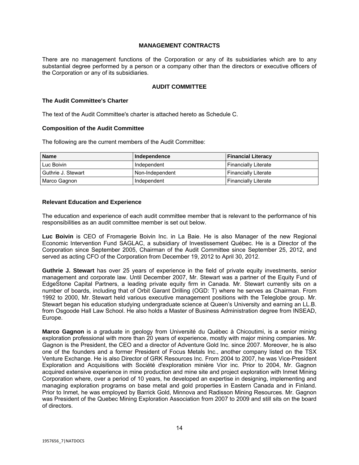## **MANAGEMENT CONTRACTS**

There are no management functions of the Corporation or any of its subsidiaries which are to any substantial degree performed by a person or a company other than the directors or executive officers of the Corporation or any of its subsidiaries.

## **AUDIT COMMITTEE**

#### **The Audit Committee's Charter**

The text of the Audit Committee's charter is attached hereto as Schedule C.

#### **Composition of the Audit Committee**

The following are the current members of the Audit Committee:

| <b>Name</b>          | Independence    | <b>Financial Literacy</b>   |
|----------------------|-----------------|-----------------------------|
| l Luc Boivin         | Independent     | <b>Financially Literate</b> |
| l Guthrie J. Stewart | Non-Independent | <b>Financially Literate</b> |
| Marco Gagnon         | Independent     | <b>Financially Literate</b> |

## **Relevant Education and Experience**

The education and experience of each audit committee member that is relevant to the performance of his responsibilities as an audit committee member is set out below.

**Luc Boivin** is CEO of Fromagerie Boivin Inc. in La Baie. He is also Manager of the new Regional Economic Intervention Fund SAGLAC, a subsidiary of Investissement Québec. He is a Director of the Corporation since September 2005, Chairman of the Audit Committee since September 25, 2012, and served as acting CFO of the Corporation from December 19, 2012 to April 30, 2012.

**Guthrie J. Stewart** has over 25 years of experience in the field of private equity investments, senior management and corporate law. Until December 2007, Mr. Stewart was a partner of the Equity Fund of EdgeStone Capital Partners, a leading private equity firm in Canada. Mr. Stewart currently sits on a number of boards, including that of Orbit Garant Drilling (OGD: T) where he serves as Chairman. From 1992 to 2000, Mr. Stewart held various executive management positions with the Teleglobe group. Mr. Stewart began his education studying undergraduate science at Queen's University and earning an LL.B. from Osgoode Hall Law School. He also holds a Master of Business Administration degree from INSEAD, Europe.

**Marco Gagnon** is a graduate in geology from Université du Québec à Chicoutimi, is a senior mining exploration professional with more than 20 years of experience, mostly with major mining companies. Mr. Gagnon is the President, the CEO and a director of Adventure Gold Inc. since 2007. Moreover, he is also one of the founders and a former President of Focus Metals Inc., another company listed on the TSX Venture Exchange. He is also Director of GRK Resources Inc. From 2004 to 2007, he was Vice-President Exploration and Acquisitions with Société d'exploration minière Vior inc. Prior to 2004, Mr. Gagnon acquired extensive experience in mine production and mine site and project exploration with Inmet Mining Corporation where, over a period of 10 years, he developed an expertise in designing, implementing and managing exploration programs on base metal and gold properties in Eastern Canada and in Finland. Prior to Inmet, he was employed by Barrick Gold, Minnova and Radisson Mining Resources. Mr. Gagnon was President of the Quebec Mining Exploration Association from 2007 to 2009 and still sits on the board of directors.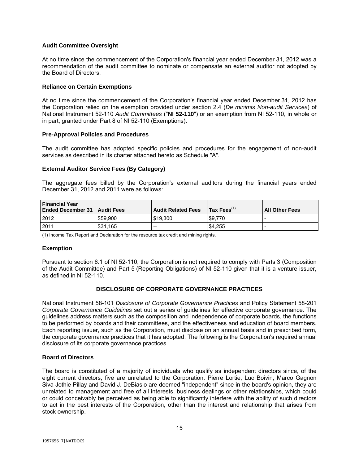# **Audit Committee Oversight**

At no time since the commencement of the Corporation's financial year ended December 31, 2012 was a recommendation of the audit committee to nominate or compensate an external auditor not adopted by the Board of Directors.

# **Reliance on Certain Exemptions**

At no time since the commencement of the Corporation's financial year ended December 31, 2012 has the Corporation relied on the exemption provided under section 2.4 (*De minimis Non-audit Services*) of National Instrument 52-110 *Audit Committees* ("**NI 52-110**") or an exemption from NI 52-110, in whole or in part, granted under Part 8 of NI 52-110 (Exemptions).

## **Pre-Approval Policies and Procedures**

The audit committee has adopted specific policies and procedures for the engagement of non-audit services as described in its charter attached hereto as Schedule "A".

# **External Auditor Service Fees (By Category)**

The aggregate fees billed by the Corporation's external auditors during the financial years ended December 31, 2012 and 2011 were as follows:

| <b>Financial Year</b><br>l Ended December 31 ∣Audit Fees |          | <b>Audit Related Fees</b> | $\prod$ Tax Fees $^{(1)}$ | <b>All Other Fees</b> |
|----------------------------------------------------------|----------|---------------------------|---------------------------|-----------------------|
| 2012                                                     | \$59,900 | \$19.300                  | \$9.770                   |                       |
| 2011                                                     | \$31,165 | $- -$                     | \$4.255                   |                       |

(1) Income Tax Report and Declaration for the resource tax credit and mining rights.

## **Exemption**

Pursuant to section 6.1 of NI 52-110, the Corporation is not required to comply with Parts 3 (Composition of the Audit Committee) and Part 5 (Reporting Obligations) of NI 52-110 given that it is a venture issuer, as defined in NI 52-110.

# **DISCLOSURE OF CORPORATE GOVERNANCE PRACTICES**

National Instrument 58-101 *Disclosure of Corporate Governance Practices* and Policy Statement 58-201 *Corporate Governance Guidelines* set out a series of guidelines for effective corporate governance. The guidelines address matters such as the composition and independence of corporate boards, the functions to be performed by boards and their committees, and the effectiveness and education of board members. Each reporting issuer, such as the Corporation, must disclose on an annual basis and in prescribed form, the corporate governance practices that it has adopted. The following is the Corporation's required annual disclosure of its corporate governance practices.

## **Board of Directors**

The board is constituted of a majority of individuals who qualify as independent directors since, of the eight current directors, five are unrelated to the Corporation. Pierre Lortie, Luc Boivin, Marco Gagnon Siva Jothie Pillay and David J. DeBiasio are deemed "independent" since in the board's opinion, they are unrelated to management and free of all interests, business dealings or other relationships, which could or could conceivably be perceived as being able to significantly interfere with the ability of such directors to act in the best interests of the Corporation, other than the interest and relationship that arises from stock ownership.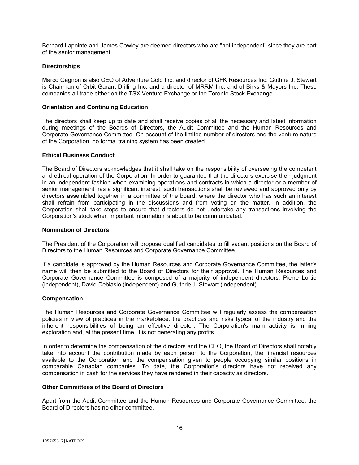Bernard Lapointe and James Cowley are deemed directors who are "not independent" since they are part of the senior management.

## **Directorships**

Marco Gagnon is also CEO of Adventure Gold Inc. and director of GFK Resources Inc. Guthrie J. Stewart is Chairman of Orbit Garant Drilling Inc. and a director of MRRM Inc. and of Birks & Mayors Inc. These companies all trade either on the TSX Venture Exchange or the Toronto Stock Exchange.

## **Orientation and Continuing Education**

The directors shall keep up to date and shall receive copies of all the necessary and latest information during meetings of the Boards of Directors, the Audit Committee and the Human Resources and Corporate Governance Committee. On account of the limited number of directors and the venture nature of the Corporation, no formal training system has been created.

## **Ethical Business Conduct**

The Board of Directors acknowledges that it shall take on the responsibility of overseeing the competent and ethical operation of the Corporation. In order to guarantee that the directors exercise their judgment in an independent fashion when examining operations and contracts in which a director or a member of senior management has a significant interest, such transactions shall be reviewed and approved only by directors assembled together in a committee of the board, where the director who has such an interest shall refrain from participating in the discussions and from voting on the matter. In addition, the Corporation shall take steps to ensure that directors do not undertake any transactions involving the Corporation's stock when important information is about to be communicated.

## **Nomination of Directors**

The President of the Corporation will propose qualified candidates to fill vacant positions on the Board of Directors to the Human Resources and Corporate Governance Committee.

If a candidate is approved by the Human Resources and Corporate Governance Committee, the latter's name will then be submitted to the Board of Directors for their approval. The Human Resources and Corporate Governance Committee is composed of a majority of independent directors: Pierre Lortie (independent), David Debiasio (independent) and Guthrie J. Stewart (independent).

## **Compensation**

The Human Resources and Corporate Governance Committee will regularly assess the compensation policies in view of practices in the marketplace, the practices and risks typical of the industry and the inherent responsibilities of being an effective director. The Corporation's main activity is mining exploration and, at the present time, it is not generating any profits.

In order to determine the compensation of the directors and the CEO, the Board of Directors shall notably take into account the contribution made by each person to the Corporation, the financial resources available to the Corporation and the compensation given to people occupying similar positions in comparable Canadian companies. To date, the Corporation's directors have not received any compensation in cash for the services they have rendered in their capacity as directors.

## **Other Committees of the Board of Directors**

Apart from the Audit Committee and the Human Resources and Corporate Governance Committee, the Board of Directors has no other committee.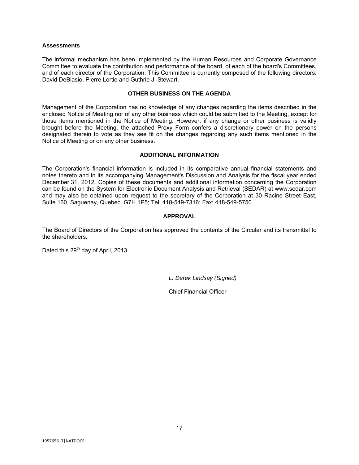#### **Assessments**

The informal mechanism has been implemented by the Human Resources and Corporate Governance Committee to evaluate the contribution and performance of the board, of each of the board's Committees, and of each director of the Corporation. This Committee is currently composed of the following directors: David DeBiasio, Pierre Lortie and Guthrie J. Stewart.

## **OTHER BUSINESS ON THE AGENDA**

Management of the Corporation has no knowledge of any changes regarding the items described in the enclosed Notice of Meeting nor of any other business which could be submitted to the Meeting, except for those items mentioned in the Notice of Meeting. However, if any change or other business is validly brought before the Meeting, the attached Proxy Form confers a discretionary power on the persons designated therein to vote as they see fit on the changes regarding any such items mentioned in the Notice of Meeting or on any other business.

## **ADDITIONAL INFORMATION**

The Corporation's financial information is included in its comparative annual financial statements and notes thereto and in its accompanying Management's Discussion and Analysis for the fiscal year ended December 31, 2012. Copies of these documents and additional information concerning the Corporation can be found on the System for Electronic Document Analysis and Retrieval (SEDAR) at www.sedar.com and may also be obtained upon request to the secretary of the Corporation at 30 Racine Street East, Suite 160, Saguenay, Quebec G7H 1P5; Tel: 418-549-7316; Fax: 418-549-5750.

# **APPROVAL**

The Board of Directors of the Corporation has approved the contents of the Circular and its transmittal to the shareholders.

Dated this 29<sup>th</sup> day of April, 2013

*L. Derek Lindsay (Signed)* 

Chief Financial Officer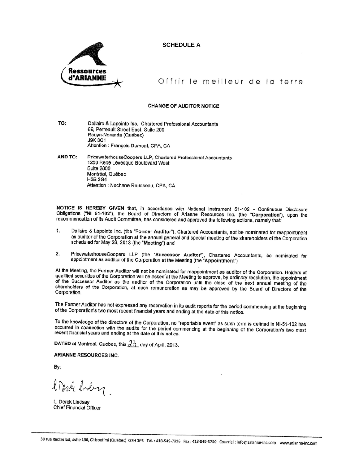# **SCHEDULE A**



Offrir le meilleur de la terre

#### **CHANGE OF AUDITOR NOTICE**

TO: Dallaire & Lapointe Inc., Chartered Professional Accountants 69, Perreault Street East, Suite 200 Rouyn-Noranda (Québec) **J9X 3C1** Attention : François Durnont, CPA, CA

AND TO: PricewaterhouseCoopers LLP, Chartered Professional Accountants 1250 René Lévesque Boulevard West **Suite 2800** Montréal, Québec H3B 2G4 Attention : Nochane Rousseau, CPA, CA

NOTICE IS HEREBY GIVEN that, in accordance with National Instrument 51-102 - Continuous Disclosure Obligations ("NI 51-102"), the Board of Directors of Arianne Resources Inc. (the "Corporation"), upon the recommendation of its Audit Committee, has considered and approved the following actions, namely that:

- 1. Dallaire & Lapointe Inc. (the "Former Auditor"), Chartered Accountants, not be nominated for reappointment as auditor of the Corporation at the annual general and special meeting of the shareholders of the Corporation scheduled for May 29, 2013 (the "Meeting") and
- PricewaterhouseCoopers LLP (the "Successor Auditor"), Chartered Accountants, be nominated for 2. appointment as auditor of the Corporation at the Meeting (the "Appointment")

At the Meeting, the Former Auditor will not be nominated for reappointment as auditor of the Corporation. Holders of qualified securities of the Corporation will be asked at the Meeting to approve, by ordinary resolution, the appointment of the Successor Auditor as the auditor of the Corporation until the close of the next annual meeting of the shareholders of the Corporation, at such remuneration as may be approved by the Board of Directors of the Corporation.

The Former Auditor has not expressed any reservation in its audit reports for the period commencing at the beginning of the Corporation's two most recent financial years and ending at the date of this notice.

To the knowledge of the directors of the Corporation, no "reportable event" as such term is defined in NI-51-102 has occurred in connection with the audits for the period commencing at the beginning of the Corporation's two most<br>recent financial vears and ending at the detect this period commencing at the beginning of the Corporation's t recent financial years and ending at the date of this notice.

**DATED** at Montreal, Quebec, this  $\lambda_0^2$  day of April, 2013.

ARIANNE RESOURCES INC.

Bv:

l Deric Inders

L. Derek Lindsay Chief Financial Officer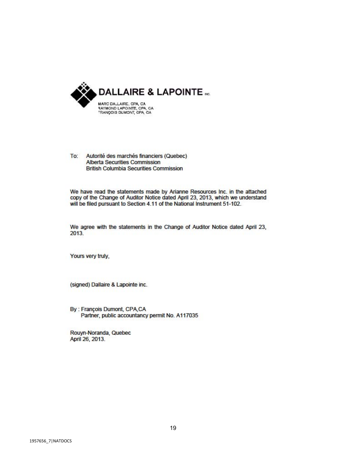

To: Autorité des marchés financiers (Quebec) Alberta Securities Commission **British Columbia Securities Commission** 

We have read the statements made by Arianne Resources Inc. in the attached copy of the Change of Auditor Notice dated April 23, 2013, which we understand will be filed pursuant to Section 4.11 of the National Instrument 51-102.

We agree with the statements in the Change of Auditor Notice dated April 23, 2013.

Yours very truly,

(signed) Dallaire & Lapointe inc.

By : François Dumont, CPA,CA Partner, public accountancy permit No. A117035

Rouyn-Noranda, Quebec April 26, 2013.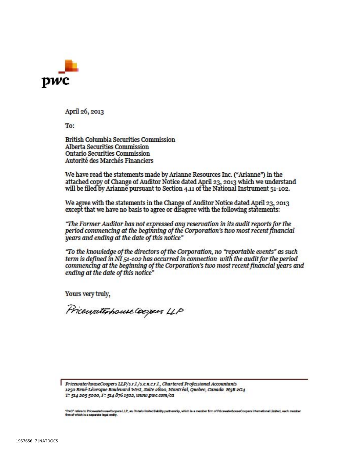

April 26, 2013

To:

**British Columbia Securities Commission** Alberta Securities Commission Ontario Securities Commission Autorité des Marchés Financiers

We have read the statements made by Arianne Resources Inc. ("Arianne") in the attached copy of Change of Auditor Notice dated April 23, 2013 which we understand will be filed by Arianne pursuant to Section 4.11 of the National Instrument 51-102.

We agree with the statements in the Change of Auditor Notice dated April 23, 2013 except that we have no basis to agree or disagree with the following statements:

"The Former Auditor has not expressed any reservation in its audit reports for the period commencing at the beginning of the Corporation's two most recent financial years and ending at the date of this notice"

"To the knowledge of the directors of the Corporation, no "reportable events" as such term is defined in NI 51-102 has occurred in connection with the audit for the period commencing at the beginning of the Corporation's two most recent financial years and ending at the date of this notice"

Yours very truly,

Pricewaterhouse Coopers LLP

PricewaterhouseCoopers LLP/s.r.l./s.e.n.c.r.l., Chartered Professional Accountants 1250 René-Lévesque Boulevard West, Suite 2800, Montréal, Quebec, Canada H3B 2G4 T: 514 205 5000, F: 514 876 1502, www.pwc.com/ca

"PwC" refers to PricewaterhouseCoopers LLP, an Ontario limited liability partnership, which is a member firm of PricewaterhouseCoopers international Limited, each member<br>firm of which is a sepande legal entity.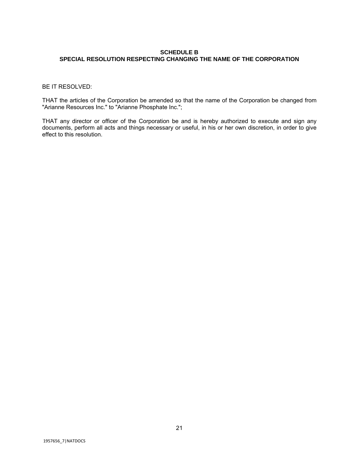# **SCHEDULE B SPECIAL RESOLUTION RESPECTING CHANGING THE NAME OF THE CORPORATION**

## BE IT RESOLVED:

THAT the articles of the Corporation be amended so that the name of the Corporation be changed from "Arianne Resources Inc." to "Arianne Phosphate Inc.";

THAT any director or officer of the Corporation be and is hereby authorized to execute and sign any documents, perform all acts and things necessary or useful, in his or her own discretion, in order to give effect to this resolution.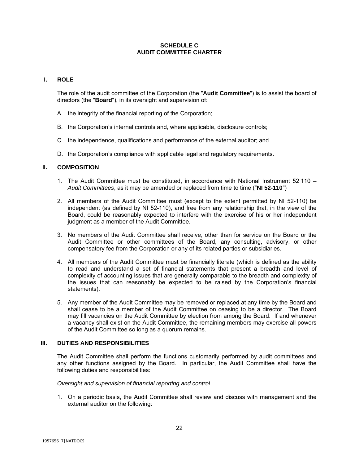# **SCHEDULE C AUDIT COMMITTEE CHARTER**

## **I. ROLE**

The role of the audit committee of the Corporation (the "**Audit Committee**") is to assist the board of directors (the "**Board**"), in its oversight and supervision of:

- A. the integrity of the financial reporting of the Corporation;
- B. the Corporation's internal controls and, where applicable, disclosure controls;
- C. the independence, qualifications and performance of the external auditor; and
- D. the Corporation's compliance with applicable legal and regulatory requirements.

# **II. COMPOSITION**

- 1. The Audit Committee must be constituted, in accordance with National Instrument 52 110 *Audit Committees*, as it may be amended or replaced from time to time ("**NI 52-110**")
- 2. All members of the Audit Committee must (except to the extent permitted by NI 52-110) be independent (as defined by NI 52-110), and free from any relationship that, in the view of the Board, could be reasonably expected to interfere with the exercise of his or her independent judgment as a member of the Audit Committee.
- 3. No members of the Audit Committee shall receive, other than for service on the Board or the Audit Committee or other committees of the Board, any consulting, advisory, or other compensatory fee from the Corporation or any of its related parties or subsidiaries.
- 4. All members of the Audit Committee must be financially literate (which is defined as the ability to read and understand a set of financial statements that present a breadth and level of complexity of accounting issues that are generally comparable to the breadth and complexity of the issues that can reasonably be expected to be raised by the Corporation's financial statements).
- 5. Any member of the Audit Committee may be removed or replaced at any time by the Board and shall cease to be a member of the Audit Committee on ceasing to be a director. The Board may fill vacancies on the Audit Committee by election from among the Board. If and whenever a vacancy shall exist on the Audit Committee, the remaining members may exercise all powers of the Audit Committee so long as a quorum remains.

## **III. DUTIES AND RESPONSIBILITIES**

The Audit Committee shall perform the functions customarily performed by audit committees and any other functions assigned by the Board. In particular, the Audit Committee shall have the following duties and responsibilities:

## *Oversight and supervision of financial reporting and control*

1. On a periodic basis, the Audit Committee shall review and discuss with management and the external auditor on the following: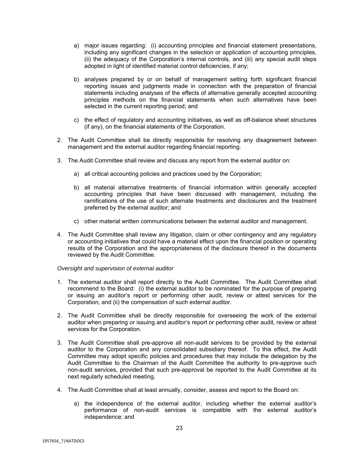- a) major issues regarding: (i) accounting principles and financial statement presentations, including any significant changes in the selection or application of accounting principles, (ii) the adequacy of the Corporation's internal controls, and (iii) any special audit steps adopted in light of identified material control deficiencies, if any;
- b) analyses prepared by or on behalf of management setting forth significant financial reporting issues and judgments made in connection with the preparation of financial statements including analyses of the effects of alternative generally accepted accounting principles methods on the financial statements when such alternatives have been selected in the current reporting period; and
- c) the effect of regulatory and accounting initiatives, as well as off-balance sheet structures (if any), on the financial statements of the Corporation.
- 2. The Audit Committee shall be directly responsible for resolving any disagreement between management and the external auditor regarding financial reporting.
- 3. The Audit Committee shall review and discuss any report from the external auditor on:
	- a) all critical accounting policies and practices used by the Corporation;
	- b) all material alternative treatments of financial information within generally accepted accounting principles that have been discussed with management, including the ramifications of the use of such alternate treatments and disclosures and the treatment preferred by the external auditor; and
	- c) other material written communications between the external auditor and management.
- 4. The Audit Committee shall review any litigation, claim or other contingency and any regulatory or accounting initiatives that could have a material effect upon the financial position or operating results of the Corporation and the appropriateness of the disclosure thereof in the documents reviewed by the Audit Committee.

#### *Oversight and supervision of external auditor*

- 1. The external auditor shall report directly to the Audit Committee. The Audit Committee shall recommend to the Board: (i) the external auditor to be nominated for the purpose of preparing or issuing an auditor's report or performing other audit, review or attest services for the Corporation, and (ii) the compensation of such external auditor.
- 2. The Audit Committee shall be directly responsible for overseeing the work of the external auditor when preparing or issuing and auditor's report or performing other audit, review or attest services for the Corporation.
- 3. The Audit Committee shall pre-approve all non-audit services to be provided by the external auditor to the Corporation and any consolidated subsidiary thereof. To this effect, the Audit Committee may adopt specific policies and procedures that may include the delegation by the Audit Committee to the Chairman of the Audit Committee the authority to pre-approve such non-audit services, provided that such pre-approval be reported to the Audit Committee at its next regularly scheduled meeting.
- 4. The Audit Committee shall at least annually, consider, assess and report to the Board on:
	- a) the independence of the external auditor, including whether the external auditor's performance of non-audit services is compatible with the external auditor's independence; and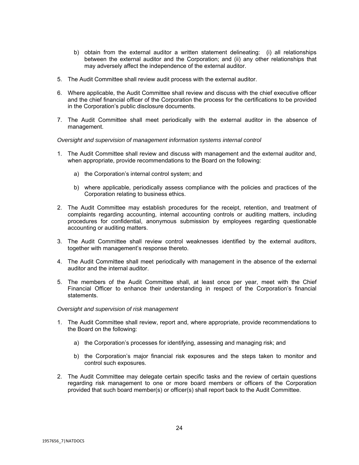- b) obtain from the external auditor a written statement delineating: (i) all relationships between the external auditor and the Corporation; and (ii) any other relationships that may adversely affect the independence of the external auditor.
- 5. The Audit Committee shall review audit process with the external auditor.
- 6. Where applicable, the Audit Committee shall review and discuss with the chief executive officer and the chief financial officer of the Corporation the process for the certifications to be provided in the Corporation's public disclosure documents.
- 7. The Audit Committee shall meet periodically with the external auditor in the absence of management.

*Oversight and supervision of management information systems internal control*

- 1. The Audit Committee shall review and discuss with management and the external auditor and, when appropriate, provide recommendations to the Board on the following:
	- a) the Corporation's internal control system; and
	- b) where applicable, periodically assess compliance with the policies and practices of the Corporation relating to business ethics.
- 2. The Audit Committee may establish procedures for the receipt, retention, and treatment of complaints regarding accounting, internal accounting controls or auditing matters, including procedures for confidential, anonymous submission by employees regarding questionable accounting or auditing matters.
- 3. The Audit Committee shall review control weaknesses identified by the external auditors, together with management's response thereto.
- 4. The Audit Committee shall meet periodically with management in the absence of the external auditor and the internal auditor.
- 5. The members of the Audit Committee shall, at least once per year, meet with the Chief Financial Officer to enhance their understanding in respect of the Corporation's financial statements.

*Oversight and supervision of risk management*

- 1. The Audit Committee shall review, report and, where appropriate, provide recommendations to the Board on the following:
	- a) the Corporation's processes for identifying, assessing and managing risk; and
	- b) the Corporation's major financial risk exposures and the steps taken to monitor and control such exposures.
- 2. The Audit Committee may delegate certain specific tasks and the review of certain questions regarding risk management to one or more board members or officers of the Corporation provided that such board member(s) or officer(s) shall report back to the Audit Committee.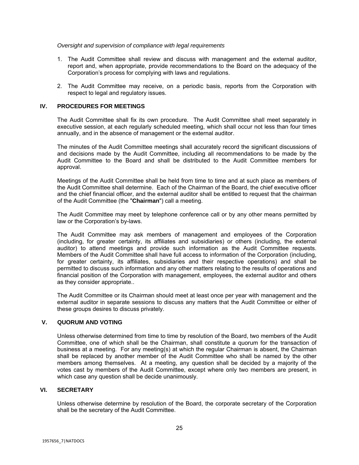## *Oversight and supervision of compliance with legal requirements*

- 1. The Audit Committee shall review and discuss with management and the external auditor, report and, when appropriate, provide recommendations to the Board on the adequacy of the Corporation's process for complying with laws and regulations.
- 2. The Audit Committee may receive, on a periodic basis, reports from the Corporation with respect to legal and regulatory issues.

# **IV. PROCEDURES FOR MEETINGS**

The Audit Committee shall fix its own procedure. The Audit Committee shall meet separately in executive session, at each regularly scheduled meeting, which shall occur not less than four times annually, and in the absence of management or the external auditor.

The minutes of the Audit Committee meetings shall accurately record the significant discussions of and decisions made by the Audit Committee, including all recommendations to be made by the Audit Committee to the Board and shall be distributed to the Audit Committee members for approval.

Meetings of the Audit Committee shall be held from time to time and at such place as members of the Audit Committee shall determine. Each of the Chairman of the Board, the chief executive officer and the chief financial officer, and the external auditor shall be entitled to request that the chairman of the Audit Committee (the "**Chairman**") call a meeting.

The Audit Committee may meet by telephone conference call or by any other means permitted by law or the Corporation's by-laws.

The Audit Committee may ask members of management and employees of the Corporation (including, for greater certainty, its affiliates and subsidiaries) or others (including, the external auditor) to attend meetings and provide such information as the Audit Committee requests. Members of the Audit Committee shall have full access to information of the Corporation (including, for greater certainty, its affiliates, subsidiaries and their respective operations) and shall be permitted to discuss such information and any other matters relating to the results of operations and financial position of the Corporation with management, employees, the external auditor and others as they consider appropriate..

The Audit Committee or its Chairman should meet at least once per year with management and the external auditor in separate sessions to discuss any matters that the Audit Committee or either of these groups desires to discuss privately.

## **V. QUORUM AND VOTING**

Unless otherwise determined from time to time by resolution of the Board, two members of the Audit Committee, one of which shall be the Chairman, shall constitute a quorum for the transaction of business at a meeting. For any meeting(s) at which the regular Chairman is absent, the Chairman shall be replaced by another member of the Audit Committee who shall be named by the other members among themselves. At a meeting, any question shall be decided by a majority of the votes cast by members of the Audit Committee, except where only two members are present, in which case any question shall be decide unanimously.

#### **VI. SECRETARY**

Unless otherwise determine by resolution of the Board, the corporate secretary of the Corporation shall be the secretary of the Audit Committee.